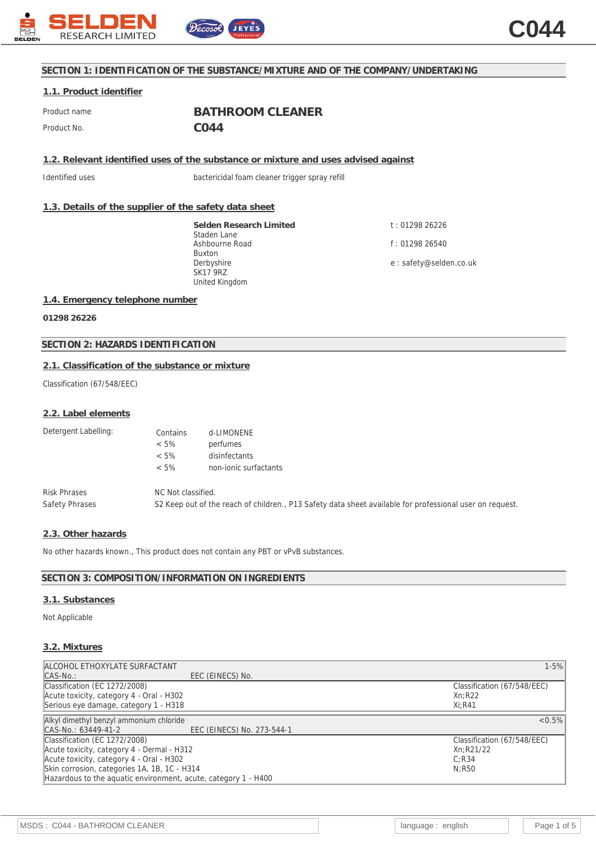

# **SECTION 1: IDENTIFICATION OF THE SUBSTANCE/MIXTURE AND OF THE COMPANY/UNDERTAKING**

## **1.1. Product identifier**

Product name **BATHROOM CLEANER** Product No. **CO44** 

**1.2. Relevant identified uses of the substance or mixture and uses advised against**

Identified uses bactericidal foam cleaner trigger spray refill

# **1.3. Details of the supplier of the safety data sheet**

**Selden Research Limited** Staden Lane Ashbourne Road Buxton Derbyshire SK17 9RZ United Kingdom

t : 01298 26226 f : 01298 26540 e : safety@selden.co.uk

# **1.4. Emergency telephone number**

**01298 26226**

# **SECTION 2: HAZARDS IDENTIFICATION**

# **2.1. Classification of the substance or mixture**

Classification (67/548/EEC)

#### **2.2. Label elements**

| Detergent Labelling: | Contains           | d-LIMONENE                                                                                               |
|----------------------|--------------------|----------------------------------------------------------------------------------------------------------|
|                      | $< 5\%$            | perfumes                                                                                                 |
|                      | $< 5\%$            | disinfectants                                                                                            |
|                      | $< 5\%$            | non-jonic surfactants                                                                                    |
| <b>Risk Phrases</b>  | NC Not classified. |                                                                                                          |
| Safety Phrases       |                    | S2 Keep out of the reach of children., P13 Safety data sheet available for professional user on request. |

#### **2.3. Other hazards**

No other hazards known., This product does not contain any PBT or vPvB substances.

# **SECTION 3: COMPOSITION/INFORMATION ON INGREDIENTS**

#### **3.1. Substances**

Not Applicable

#### **3.2. Mixtures**

| ALCOHOL ETHOXYLATE SURFACTANT                                  | $1 - 5%$                    |
|----------------------------------------------------------------|-----------------------------|
| EEC (EINECS) No.<br>$\mathsf{CAS\text{-}No.}:$                 |                             |
| Classification (EC 1272/2008)                                  | Classification (67/548/EEC) |
| Acute toxicity, category 4 - Oral - H302                       | Xn:R22                      |
| Serious eye damage, category 1 - H318                          | $Xi:$ R41                   |
| Alkyl dimethyl benzyl ammonium chloride                        | $< 0.5\%$                   |
| EEC (EINECS) No. 273-544-1<br>CAS-No.: 63449-41-2              |                             |
| Classification (EC 1272/2008)                                  | Classification (67/548/EEC) |
| Acute toxicity, category 4 - Dermal - H312                     | Xn:R21/22                   |
| Acute toxicity, category 4 - Oral - H302                       | C: R34                      |
| Skin corrosion, categories 1A, 1B, 1C - H314                   | N:R50                       |
| Hazardous to the aquatic environment, acute, category 1 - H400 |                             |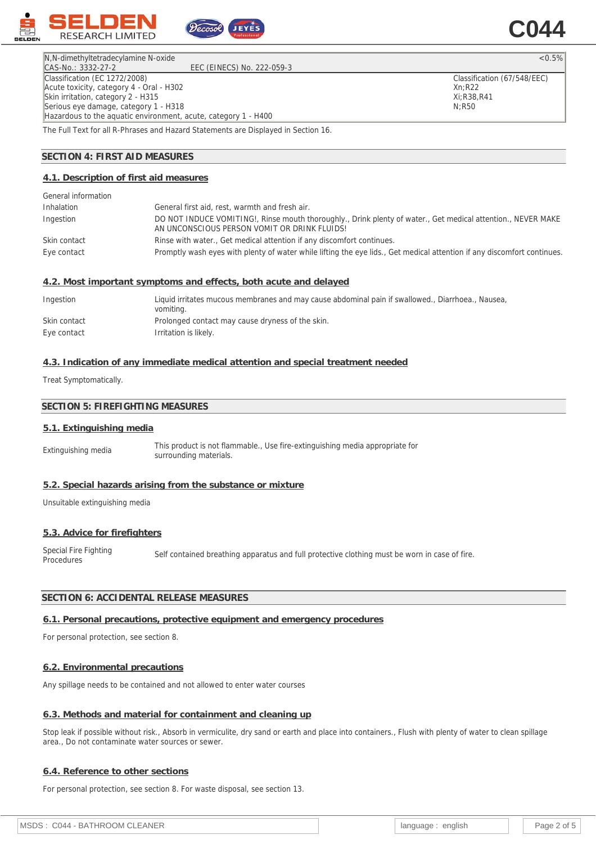

N,N-dimethyltetradecylamine N-oxide <0.5%

Classification (67/548/EEC)

Xn;R22 Xi;R38,R41 N;R50

CAS-No.: 3332-27-2 EEC (EINECS) No. 222-059-3 Classification (EC 1272/2008) Acute toxicity, category 4 - Oral - H302 Skin irritation, category 2 - H315 Serious eye damage, category 1 - H318 Hazardous to the aquatic environment, acute, category 1 - H400

The Full Text for all R-Phrases and Hazard Statements are Displayed in Section 16.

# **SECTION 4: FIRST AID MEASURES**

#### **4.1. Description of first aid measures**

| General information |                                                                                                                                                              |
|---------------------|--------------------------------------------------------------------------------------------------------------------------------------------------------------|
| Inhalation          | General first aid, rest, warmth and fresh air.                                                                                                               |
| Ingestion           | DO NOT INDUCE VOMITING!, Rinse mouth thoroughly., Drink plenty of water., Get medical attention., NEVER MAKE<br>AN UNCONSCIOUS PERSON VOMIT OR DRINK FLUIDS! |
| Skin contact        | Rinse with water., Get medical attention if any discomfort continues.                                                                                        |
| Eye contact         | Promptly wash eyes with plenty of water while lifting the eye lids., Get medical attention if any discomfort continues.                                      |

#### **4.2. Most important symptoms and effects, both acute and delayed**

| Ingestion    | Liquid irritates mucous membranes and may cause abdominal pain if swallowed., Diarrhoea., Nausea,<br>vomiting. |
|--------------|----------------------------------------------------------------------------------------------------------------|
| Skin contact | Prolonged contact may cause dryness of the skin.                                                               |
| Eye contact  | Irritation is likely.                                                                                          |

#### **4.3. Indication of any immediate medical attention and special treatment needed**

Treat Symptomatically.

### **SECTION 5: FIREFIGHTING MEASURES**

#### **5.1. Extinguishing media**

Extinguishing media This product is not flammable., Use fire-extinguishing media appropriate for surrounding materials.

#### **5.2. Special hazards arising from the substance or mixture**

Unsuitable extinguishing media

#### **5.3. Advice for firefighters**

Special Fire Fighting Special Fire Fighting Self contained breathing apparatus and full protective clothing must be worn in case of fire.<br>Procedures

# **SECTION 6: ACCIDENTAL RELEASE MEASURES**

# **6.1. Personal precautions, protective equipment and emergency procedures**

For personal protection, see section 8.

# **6.2. Environmental precautions**

Any spillage needs to be contained and not allowed to enter water courses

# **6.3. Methods and material for containment and cleaning up**

Stop leak if possible without risk., Absorb in vermiculite, dry sand or earth and place into containers., Flush with plenty of water to clean spillage area., Do not contaminate water sources or sewer.

#### **6.4. Reference to other sections**

For personal protection, see section 8. For waste disposal, see section 13.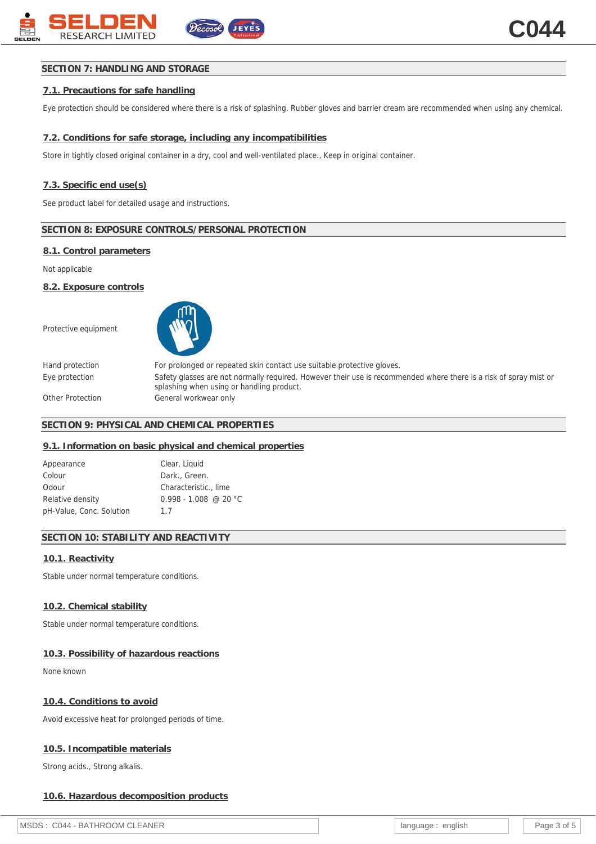# **SECTION 7: HANDLING AND STORAGE**

# **7.1. Precautions for safe handling**

Eye protection should be considered where there is a risk of splashing. Rubber gloves and barrier cream are recommended when using any chemical.

# **7.2. Conditions for safe storage, including any incompatibilities**

Store in tightly closed original container in a dry, cool and well-ventilated place., Keep in original container.

### **7.3. Specific end use(s)**

See product label for detailed usage and instructions.

#### **SECTION 8: EXPOSURE CONTROLS/PERSONAL PROTECTION**

#### **8.1. Control parameters**

Not applicable

**8.2. Exposure controls**

Protective equipment



Hand protection For prolonged or repeated skin contact use suitable protective gloves. Eye protection Safety glasses are not normally required. However their use is recommended where there is a risk of spray mist or splashing when using or handling product. Other Protection General workwear only

# **SECTION 9: PHYSICAL AND CHEMICAL PROPERTIES**

### **9.1. Information on basic physical and chemical properties**

| Appearance               | Clear, Liquid           |
|--------------------------|-------------------------|
| Colour                   | Dark., Green.           |
| Odour                    | Characteristic., lime   |
| Relative density         | $0.998 - 1.008$ @ 20 °C |
| pH-Value, Conc. Solution | 1.7                     |

# **SECTION 10: STABILITY AND REACTIVITY**

### **10.1. Reactivity**

Stable under normal temperature conditions.

# **10.2. Chemical stability**

Stable under normal temperature conditions.

### **10.3. Possibility of hazardous reactions**

None known

### **10.4. Conditions to avoid**

Avoid excessive heat for prolonged periods of time.

# **10.5. Incompatible materials**

Strong acids., Strong alkalis.

### **10.6. Hazardous decomposition products**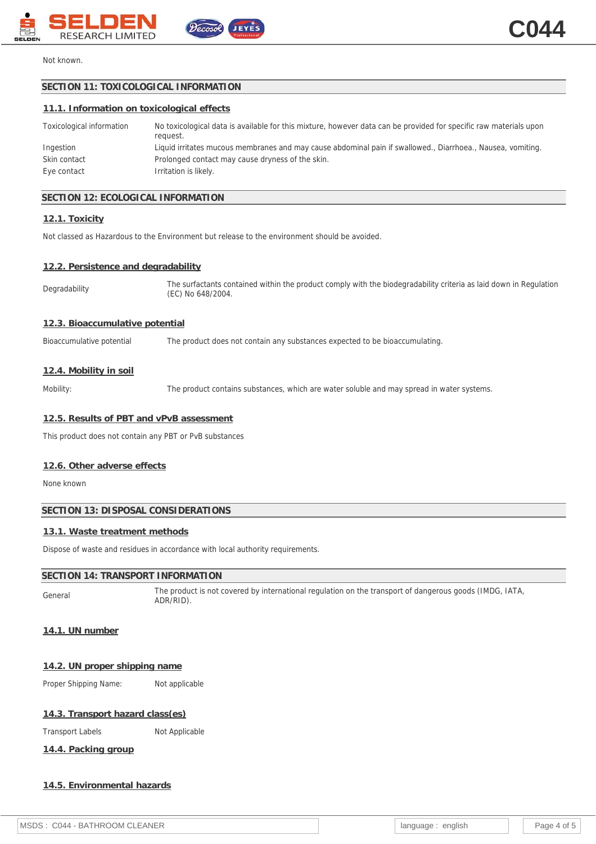



# Not known.

# **SECTION 11: TOXICOLOGICAL INFORMATION**

#### **11.1. Information on toxicological effects**

| Toxicological information | No toxicological data is available for this mixture, however data can be provided for specific raw materials upon<br>reauest. |
|---------------------------|-------------------------------------------------------------------------------------------------------------------------------|
| Ingestion                 | Liquid irritates mucous membranes and may cause abdominal pain if swallowed., Diarrhoea., Nausea, vomiting.                   |
| Skin contact              | Prolonged contact may cause dryness of the skin.                                                                              |
| Eye contact               | Irritation is likely.                                                                                                         |

# **SECTION 12: ECOLOGICAL INFORMATION**

#### **12.1. Toxicity**

Not classed as Hazardous to the Environment but release to the environment should be avoided.

ecosol

#### **12.2. Persistence and degradability**

Degradability The surfactants contained within the product comply with the biodegradability criteria as laid down in Regulation (EC) No 648/2004.

# **12.3. Bioaccumulative potential**

Bioaccumulative potential The product does not contain any substances expected to be bioaccumulating.

### **12.4. Mobility in soil**

Mobility: The product contains substances, which are water soluble and may spread in water systems.

# **12.5. Results of PBT and vPvB assessment**

This product does not contain any PBT or PvB substances

#### **12.6. Other adverse effects**

None known

# **SECTION 13: DISPOSAL CONSIDERATIONS**

# **13.1. Waste treatment methods**

Dispose of waste and residues in accordance with local authority requirements.

# **SECTION 14: TRANSPORT INFORMATION**

General The product is not covered by international regulation on the transport of dangerous goods (IMDG, IATA, ADR/RID).

# **14.1. UN number**

**14.2. UN proper shipping name**

Proper Shipping Name: Not applicable

### **14.3. Transport hazard class(es)**

Transport Labels Not Applicable

**14.4. Packing group**

# **14.5. Environmental hazards**

| MSDS : C044 - BATHROOM CLEANER | language :<br>english |  | Page 4 of 5 |
|--------------------------------|-----------------------|--|-------------|
|--------------------------------|-----------------------|--|-------------|